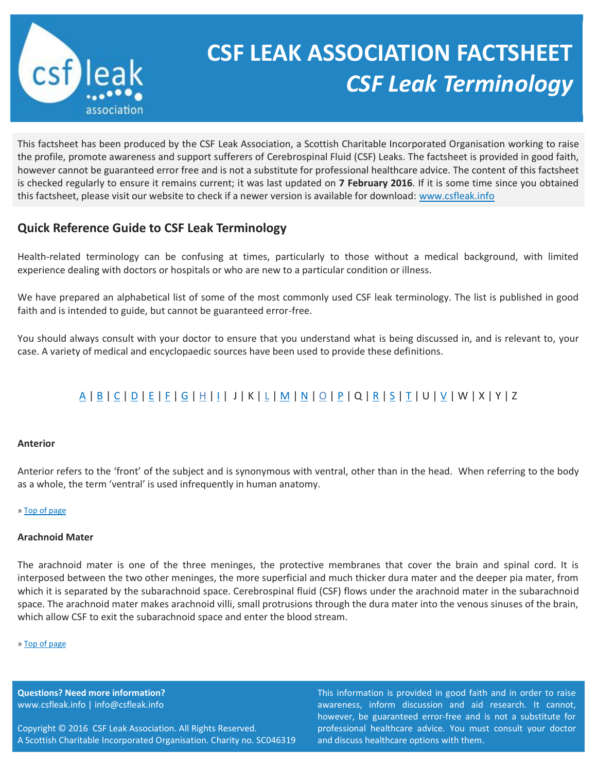

# **CSF LEAK ASSOCIATION FACTSHEET** *CSF Leak Terminology*

This factsheet has been produced by the CSF Leak Association, a Scottish Charitable Incorporated Organisation working to raise the profile, promote awareness and support sufferers of Cerebrospinal Fluid (CSF) Leaks. The factsheet is provided in good faith, however cannot be guaranteed error free and is not a substitute for professional healthcare advice. The content of this factsheet is checked regularly to ensure it remains current; it was last updated on **7 February 2016**. If it is some time since you obtained this factsheet, please visit our website to check if a newer version is available for download: [www.csfleak.info](http://www.csfleak.info/)

# <span id="page-0-1"></span>**Quick Reference Guide to CSF Leak Terminology**

Health-related terminology can be confusing at times, particularly to those without a medical background, with limited experience dealing with doctors or hospitals or who are new to a particular condition or illness.

We have prepared an alphabetical list of some of the most commonly used CSF leak terminology. The list is published in good faith and is intended to guide, but cannot be guaranteed error-free.

You should always consult with your doctor to ensure that you understand what is being discussed in, and is relevant to, your case. A variety of medical and encyclopaedic sources have been used to provide these definitions.

# [A](#page-0-0) | [B](#page-1-0) | [C](#page-2-0) | [D](#page-3-0) | [E](#page-4-0) | [F](#page-5-0) | [G](#page-5-1) | [H](#page-5-2) | [I](#page-6-0) | J | K | [L](#page-6-1) | [M](#page-7-0) | [N](#page-7-1) | [O](#page-7-2) | [P](#page-7-3) | Q | [R](#page-9-0) [| S](#page-9-1) | [T](#page-10-0) | U [| V](#page-10-1) | W | X | Y | Z

# <span id="page-0-0"></span>**Anterior**

Anterior refers to the 'front' of the subject and is synonymous with ventral, other than in the head. When referring to the body as a whole, the term 'ventral' is used infrequently in human anatomy.

# [» Top of page](#page-0-1)

# **Arachnoid Mater**

The arachnoid mater is one of the three meninges, the protective membranes that cover the brain and spinal cord. It is interposed between the two other meninges, the more superficial and much thicker dura mater and the deeper pia mater, from which it is separated by the subarachnoid space. Cerebrospinal fluid (CSF) flows under the arachnoid mater in the subarachnoid space. The arachnoid mater makes arachnoid villi, small protrusions through the dura mater into the venous sinuses of the brain, which allow CSF to exit the subarachnoid space and enter the blood stream.

#### [» Top of page](#page-0-1)

**Questions? Need more information?** www.csfleak.info | info@csfleak.info

Copyright © 2016 CSF Leak Association. All Rights Reserved. A Scottish Charitable Incorporated Organisation. Charity no. SC046319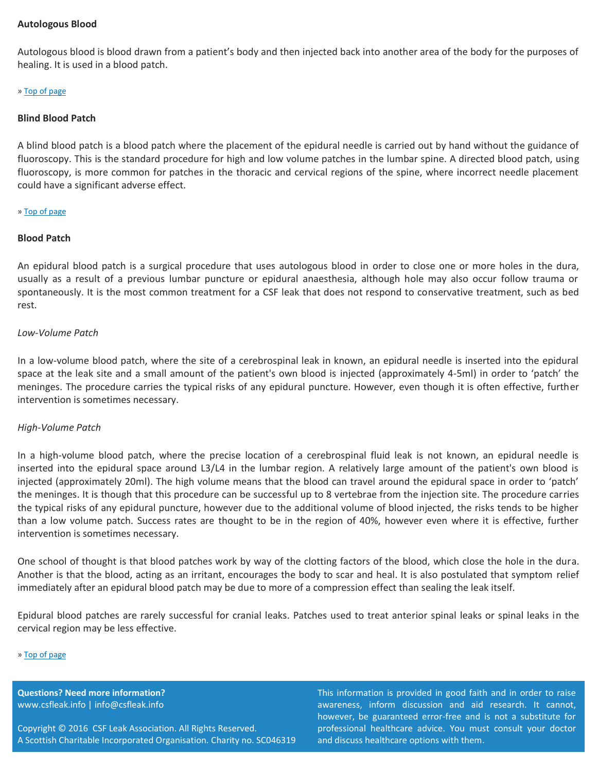# **Autologous Blood**

Autologous blood is blood drawn from a patient's body and then injected back into another area of the body for the purposes of healing. It is used in a blood patch.

#### [» Top of page](#page-0-1)

# <span id="page-1-0"></span>**Blind Blood Patch**

A blind blood patch is a blood patch where the placement of the epidural needle is carried out by hand without the guidance of fluoroscopy. This is the standard procedure for high and low volume patches in the lumbar spine. A directed blood patch, using fluoroscopy, is more common for patches in the thoracic and cervical regions of the spine, where incorrect needle placement could have a significant adverse effect.

# [» Top of page](#page-0-1)

# **Blood Patch**

An epidural blood patch is a surgical procedure that uses autologous blood in order to close one or more holes in the dura, usually as a result of a previous lumbar puncture or epidural anaesthesia, although hole may also occur follow trauma or spontaneously. It is the most common treatment for a CSF leak that does not respond to conservative treatment, such as bed rest.

# *Low-Volume Patch*

In a low-volume blood patch, where the site of a cerebrospinal leak in known, an epidural needle is inserted into the epidural space at the leak site and a small amount of the patient's own blood is injected (approximately 4-5ml) in order to 'patch' the meninges. The procedure carries the typical risks of any epidural puncture. However, even though it is often effective, further intervention is sometimes necessary.

# *High-Volume Patch*

In a high-volume blood patch, where the precise location of a cerebrospinal fluid leak is not known, an epidural needle is inserted into the epidural space around L3/L4 in the lumbar region. A relatively large amount of the patient's own blood is injected (approximately 20ml). The high volume means that the blood can travel around the epidural space in order to 'patch' the meninges. It is though that this procedure can be successful up to 8 vertebrae from the injection site. The procedure carries the typical risks of any epidural puncture, however due to the additional volume of blood injected, the risks tends to be higher than a low volume patch. Success rates are thought to be in the region of 40%, however even where it is effective, further intervention is sometimes necessary.

One school of thought is that blood patches work by way of the clotting factors of the blood, which close the hole in the dura. Another is that the blood, acting as an irritant, encourages the body to scar and heal. It is also postulated that symptom relief immediately after an epidural blood patch may be due to more of a compression effect than sealing the leak itself.

Epidural blood patches are rarely successful for cranial leaks. Patches used to treat anterior spinal leaks or spinal leaks in the cervical region may be less effective.

#### [» Top of page](#page-0-1)

**Questions? Need more information?** www.csfleak.info | info@csfleak.info

Copyright © 2016 CSF Leak Association. All Rights Reserved. A Scottish Charitable Incorporated Organisation. Charity no. SC046319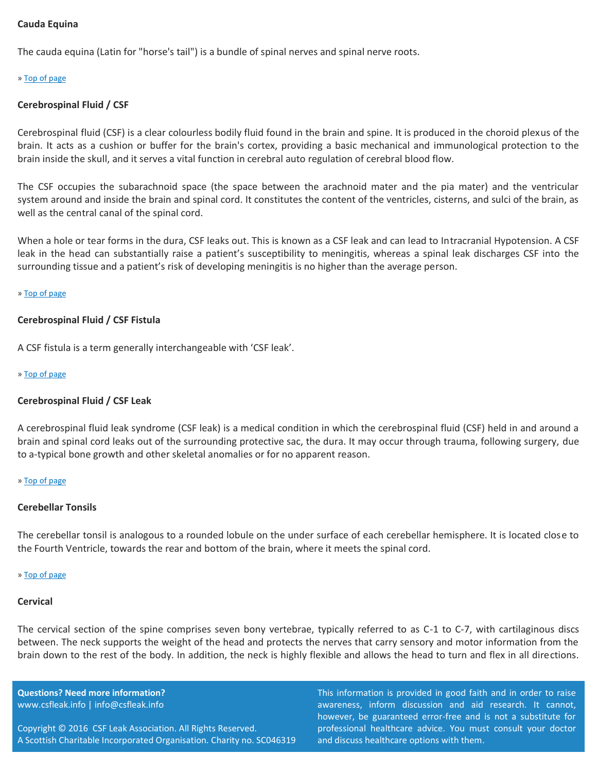# <span id="page-2-0"></span>**Cauda Equina**

The cauda equina (Latin for "horse's tail") is a bundle of spinal nerves and spinal nerve roots.

#### [» Top of page](#page-0-1)

# **Cerebrospinal Fluid / CSF**

Cerebrospinal fluid (CSF) is a clear colourless bodily fluid found in the brain and spine. It is produced in the choroid plexus of the brain. It acts as a cushion or buffer for the brain's cortex, providing a basic mechanical and immunological protection to the brain inside the skull, and it serves a vital function in cerebral auto regulation of cerebral blood flow.

The CSF occupies the subarachnoid space (the space between the arachnoid mater and the pia mater) and the ventricular system around and inside the brain and spinal cord. It constitutes the content of the ventricles, cisterns, and sulci of the brain, as well as the central canal of the spinal cord.

When a hole or tear forms in the dura, CSF leaks out. This is known as a CSF leak and can lead to Intracranial Hypotension. A CSF leak in the head can substantially raise a patient's susceptibility to meningitis, whereas a spinal leak discharges CSF into the surrounding tissue and a patient's risk of developing meningitis is no higher than the average person.

#### [» Top of page](#page-0-1)

# **Cerebrospinal Fluid / CSF Fistula**

A CSF fistula is a term generally interchangeable with 'CSF leak'.

#### [» Top of page](#page-0-1)

#### **Cerebrospinal Fluid / CSF Leak**

A cerebrospinal fluid leak syndrome (CSF leak) is a medical condition in which the cerebrospinal fluid (CSF) held in and around a brain and spinal cord leaks out of the surrounding protective sac, the dura. It may occur through trauma, following surgery, due to a-typical bone growth and other skeletal anomalies or for no apparent reason.

#### [» Top of page](#page-0-1)

#### **Cerebellar Tonsils**

The cerebellar tonsil is analogous to a rounded lobule on the under surface of each cerebellar hemisphere. It is located close to the Fourth Ventricle, towards the rear and bottom of the brain, where it meets the spinal cord.

#### [» Top of page](#page-0-1)

#### **Cervical**

The cervical section of the spine comprises seven bony vertebrae, typically referred to as C-1 to C-7, with cartilaginous discs between. The neck supports the weight of the head and protects the nerves that carry sensory and motor information from the brain down to the rest of the body. In addition, the neck is highly flexible and allows the head to turn and flex in all directions.

**Questions? Need more information?** www.csfleak.info | info@csfleak.info

Copyright © 2016 CSF Leak Association. All Rights Reserved. A Scottish Charitable Incorporated Organisation. Charity no. SC046319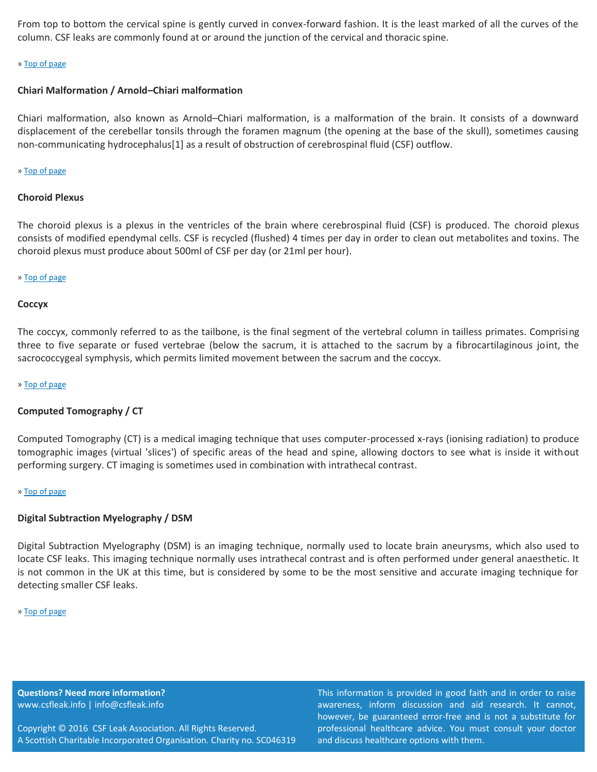From top to bottom the cervical spine is gently curved in convex-forward fashion. It is the least marked of all the curves of the column. CSF leaks are commonly found at or around the junction of the cervical and thoracic spine.

#### [» Top of page](#page-0-1)

# **Chiari Malformation / Arnold–Chiari malformation**

Chiari malformation, also known as Arnold–Chiari malformation, is a malformation of the brain. It consists of a downward displacement of the cerebellar tonsils through the foramen magnum (the opening at the base of the skull), sometimes causing non-communicating hydrocephalus[1] as a result of obstruction of cerebrospinal fluid (CSF) outflow.

#### [» Top of page](#page-0-1)

# **Choroid Plexus**

The choroid plexus is a plexus in the ventricles of the brain where cerebrospinal fluid (CSF) is produced. The choroid plexus consists of modified ependymal cells. CSF is recycled (flushed) 4 times per day in order to clean out metabolites and toxins. The choroid plexus must produce about 500ml of CSF per day (or 21ml per hour).

# [» Top of page](#page-0-1)

# **Coccyx**

The coccyx, commonly referred to as the tailbone, is the final segment of the vertebral column in tailless primates. Comprising three to five separate or fused vertebrae (below the sacrum, it is attached to the sacrum by a fibrocartilaginous joint, the sacrococcygeal symphysis, which permits limited movement between the sacrum and the coccyx.

#### [» Top of page](#page-0-1)

# **Computed Tomography / CT**

Computed Tomography (CT) is a medical imaging technique that uses computer-processed x-rays (ionising radiation) to produce tomographic images (virtual 'slices') of specific areas of the head and spine, allowing doctors to see what is inside it without performing surgery. CT imaging is sometimes used in combination with intrathecal contrast.

#### [» Top of page](#page-0-1)

# <span id="page-3-0"></span>**Digital Subtraction Myelography / DSM**

Digital Subtraction Myelography (DSM) is an imaging technique, normally used to locate brain aneurysms, which also used to locate CSF leaks. This imaging technique normally uses intrathecal contrast and is often performed under general anaesthetic. It is not common in the UK at this time, but is considered by some to be the most sensitive and accurate imaging technique for detecting smaller CSF leaks.

#### [» Top of page](#page-0-1)

**Questions? Need more information?** www.csfleak.info | info@csfleak.info

Copyright © 2016 CSF Leak Association. All Rights Reserved. A Scottish Charitable Incorporated Organisation. Charity no. SC046319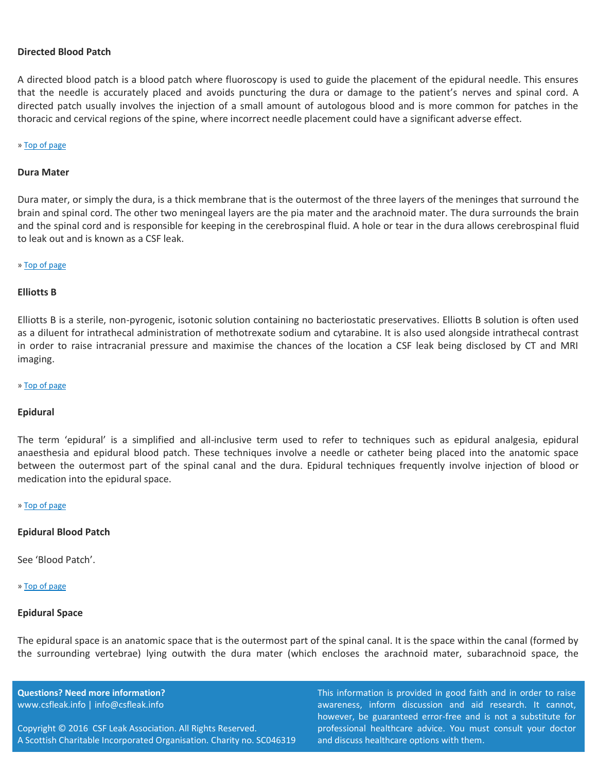# **Directed Blood Patch**

A directed blood patch is a blood patch where fluoroscopy is used to guide the placement of the epidural needle. This ensures that the needle is accurately placed and avoids puncturing the dura or damage to the patient's nerves and spinal cord. A directed patch usually involves the injection of a small amount of autologous blood and is more common for patches in the thoracic and cervical regions of the spine, where incorrect needle placement could have a significant adverse effect.

#### [» Top of page](#page-0-1)

#### **Dura Mater**

Dura mater, or simply the dura, is a thick membrane that is the outermost of the three layers of the meninges that surround the brain and spinal cord. The other two meningeal layers are the pia mater and the arachnoid mater. The dura surrounds the brain and the spinal cord and is responsible for keeping in the cerebrospinal fluid. A hole or tear in the dura allows cerebrospinal fluid to leak out and is known as a CSF leak.

#### [» Top of page](#page-0-1)

## <span id="page-4-0"></span>**Elliotts B**

Elliotts B is a sterile, non-pyrogenic, isotonic solution containing no bacteriostatic preservatives. Elliotts B solution is often used as a diluent for intrathecal administration of methotrexate sodium and cytarabine. It is also used alongside intrathecal contrast in order to raise intracranial pressure and maximise the chances of the location a CSF leak being disclosed by CT and MRI imaging.

#### [» Top of page](#page-0-1)

#### **Epidural**

The term 'epidural' is a simplified and all-inclusive term used to refer to techniques such as epidural analgesia, epidural anaesthesia and epidural blood patch. These techniques involve a needle or catheter being placed into the anatomic space between the outermost part of the spinal canal and the dura. Epidural techniques frequently involve injection of blood or medication into the epidural space.

#### [» Top of page](#page-0-1)

#### **Epidural Blood Patch**

See 'Blood Patch'.

#### [» Top of page](#page-0-1)

#### **Epidural Space**

The epidural space is an anatomic space that is the outermost part of the spinal canal. It is the space within the canal (formed by the surrounding vertebrae) lying outwith the dura mater (which encloses the arachnoid mater, subarachnoid space, the

**Questions? Need more information?** www.csfleak.info | info@csfleak.info

Copyright © 2016 CSF Leak Association. All Rights Reserved. A Scottish Charitable Incorporated Organisation. Charity no. SC046319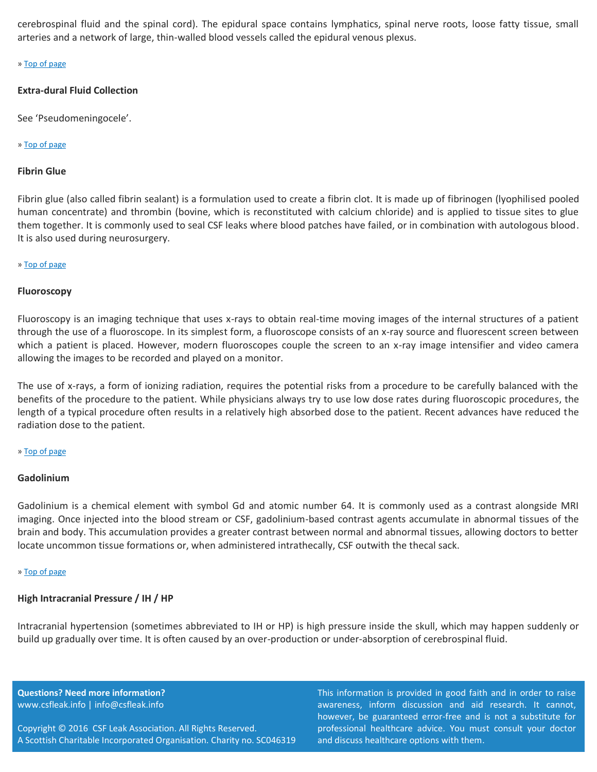cerebrospinal fluid and the spinal cord). The epidural space contains lymphatics, spinal nerve roots, loose fatty tissue, small arteries and a network of large, thin-walled blood vessels called the epidural venous plexus.

# [» Top of page](#page-0-1)

# **Extra-dural Fluid Collection**

See 'Pseudomeningocele'.

# [» Top of page](#page-0-1)

# <span id="page-5-0"></span>**Fibrin Glue**

Fibrin glue (also called fibrin sealant) is a formulation used to create a fibrin clot. It is made up of fibrinogen (lyophilised pooled human concentrate) and thrombin (bovine, which is reconstituted with calcium chloride) and is applied to tissue sites to glue them together. It is commonly used to seal CSF leaks where blood patches have failed, or in combination with autologous blood. It is also used during neurosurgery.

# [» Top of page](#page-0-1)

# **Fluoroscopy**

Fluoroscopy is an imaging technique that uses x-rays to obtain real-time moving images of the internal structures of a patient through the use of a fluoroscope. In its simplest form, a fluoroscope consists of an x-ray source and fluorescent screen between which a patient is placed. However, modern fluoroscopes couple the screen to an x-ray image intensifier and video camera allowing the images to be recorded and played on a monitor.

The use of x-rays, a form of ionizing radiation, requires the potential risks from a procedure to be carefully balanced with the benefits of the procedure to the patient. While physicians always try to use low dose rates during fluoroscopic procedures, the length of a typical procedure often results in a relatively high absorbed dose to the patient. Recent advances have reduced the radiation dose to the patient.

# [» Top of page](#page-0-1)

# <span id="page-5-1"></span>**Gadolinium**

Gadolinium is a chemical element with symbol Gd and atomic number 64. It is commonly used as a contrast alongside MRI imaging. Once injected into the blood stream or CSF, gadolinium-based contrast agents accumulate in abnormal tissues of the brain and body. This accumulation provides a greater contrast between normal and abnormal tissues, allowing doctors to better locate uncommon tissue formations or, when administered intrathecally, CSF outwith the thecal sack.

#### [» Top of page](#page-0-1)

# <span id="page-5-2"></span>**High Intracranial Pressure / IH / HP**

Intracranial hypertension (sometimes abbreviated to IH or HP) is high pressure inside the skull, which may happen suddenly or build up gradually over time. It is often caused by an over-production or under-absorption of cerebrospinal fluid.

**Questions? Need more information?** www.csfleak.info | info@csfleak.info

Copyright © 2016 CSF Leak Association. All Rights Reserved. A Scottish Charitable Incorporated Organisation. Charity no. SC046319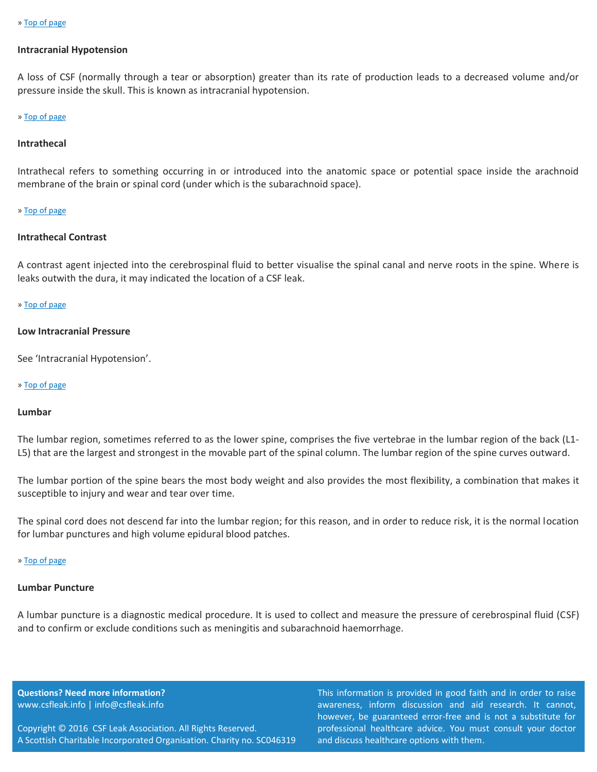# <span id="page-6-0"></span>**Intracranial Hypotension**

A loss of CSF (normally through a tear or absorption) greater than its rate of production leads to a decreased volume and/or pressure inside the skull. This is known as intracranial hypotension.

#### [» Top of page](#page-0-1)

#### **Intrathecal**

Intrathecal refers to something occurring in or introduced into the anatomic space or potential space inside the arachnoid membrane of the brain or spinal cord (under which is the subarachnoid space).

#### [» Top of page](#page-0-1)

#### **Intrathecal Contrast**

A contrast agent injected into the cerebrospinal fluid to better visualise the spinal canal and nerve roots in the spine. Where is leaks outwith the dura, it may indicated the location of a CSF leak.

# [» Top of page](#page-0-1)

# <span id="page-6-1"></span>**Low Intracranial Pressure**

See 'Intracranial Hypotension'.

#### [» Top of page](#page-0-1)

#### **Lumbar**

The lumbar region, sometimes referred to as the lower spine, comprises the five vertebrae in the lumbar region of the back (L1- L5) that are the largest and strongest in the movable part of the spinal column. The lumbar region of the spine curves outward.

The lumbar portion of the spine bears the most body weight and also provides the most flexibility, a combination that makes it susceptible to injury and wear and tear over time.

The spinal cord does not descend far into the lumbar region; for this reason, and in order to reduce risk, it is the normal location for lumbar punctures and high volume epidural blood patches.

#### [» Top of page](#page-0-1)

#### **Lumbar Puncture**

A lumbar puncture is a diagnostic medical procedure. It is used to collect and measure the pressure of cerebrospinal fluid (CSF) and to confirm or exclude conditions such as meningitis and subarachnoid haemorrhage.

**Questions? Need more information?** www.csfleak.info | info@csfleak.info

Copyright © 2016 CSF Leak Association. All Rights Reserved. A Scottish Charitable Incorporated Organisation. Charity no. SC046319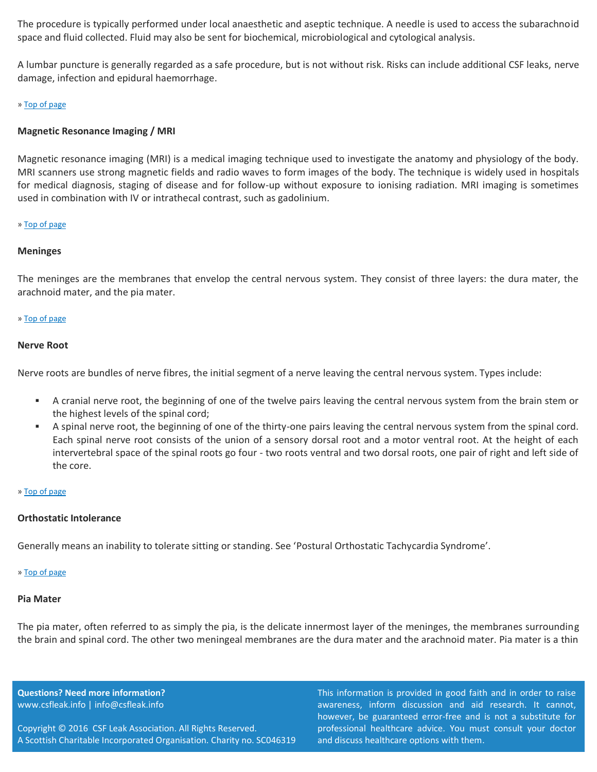The procedure is typically performed under local anaesthetic and aseptic technique. A needle is used to access the subarachnoid space and fluid collected. Fluid may also be sent for biochemical, microbiological and cytological analysis.

A lumbar puncture is generally regarded as a safe procedure, but is not without risk. Risks can include additional CSF leaks, nerve damage, infection and epidural haemorrhage.

# [» Top of page](#page-0-1)

# <span id="page-7-0"></span>**Magnetic Resonance Imaging / MRI**

Magnetic resonance imaging (MRI) is a medical imaging technique used to investigate the anatomy and physiology of the body. MRI scanners use strong magnetic fields and radio waves to form images of the body. The technique is widely used in hospitals for medical diagnosis, staging of disease and for follow-up without exposure to ionising radiation. MRI imaging is sometimes used in combination with IV or intrathecal contrast, such as gadolinium.

# [» Top of page](#page-0-1)

# **Meninges**

The meninges are the membranes that envelop the central nervous system. They consist of three layers: the dura mater, the arachnoid mater, and the pia mater.

# [» Top of page](#page-0-1)

# <span id="page-7-1"></span>**Nerve Root**

Nerve roots are bundles of nerve fibres, the initial segment of a nerve leaving the central nervous system. Types include:

- A cranial nerve root, the beginning of one of the twelve pairs leaving the central nervous system from the brain stem or the highest levels of the spinal cord;
- A spinal nerve root, the beginning of one of the thirty-one pairs leaving the central nervous system from the spinal cord. Each spinal nerve root consists of the union of a sensory dorsal root and a motor ventral root. At the height of each intervertebral space of the spinal roots go four - two roots ventral and two dorsal roots, one pair of right and left side of the core.

#### [» Top of page](#page-0-1)

# <span id="page-7-2"></span>**Orthostatic Intolerance**

Generally means an inability to tolerate sitting or standing. See 'Postural Orthostatic Tachycardia Syndrome'.

# [» Top of page](#page-0-1)

#### <span id="page-7-3"></span>**Pia Mater**

The pia mater, often referred to as simply the pia, is the delicate innermost layer of the meninges, the membranes surrounding the brain and spinal cord. The other two meningeal membranes are the dura mater and the arachnoid mater. Pia mater is a thin

**Questions? Need more information?** www.csfleak.info | info@csfleak.info

Copyright © 2016 CSF Leak Association. All Rights Reserved. A Scottish Charitable Incorporated Organisation. Charity no. SC046319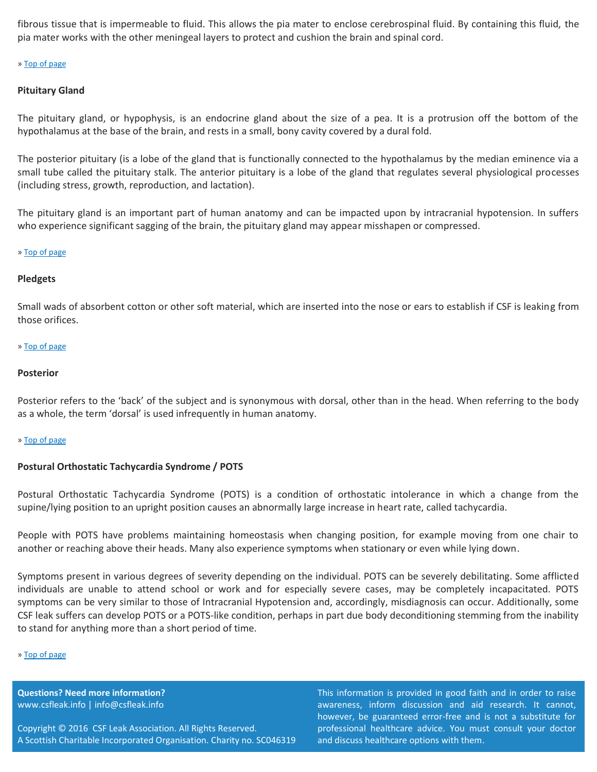fibrous tissue that is impermeable to fluid. This allows the pia mater to enclose cerebrospinal fluid. By containing this fluid, the pia mater works with the other meningeal layers to protect and cushion the brain and spinal cord.

# [» Top of page](#page-0-1)

# **Pituitary Gland**

The pituitary gland, or hypophysis, is an endocrine gland about the size of a pea. It is a protrusion off the bottom of the hypothalamus at the base of the brain, and rests in a small, bony cavity covered by a dural fold.

The posterior pituitary (is a lobe of the gland that is functionally connected to the hypothalamus by the median eminence via a small tube called the pituitary stalk. The anterior pituitary is a lobe of the gland that regulates several physiological processes (including stress, growth, reproduction, and lactation).

The pituitary gland is an important part of human anatomy and can be impacted upon by intracranial hypotension. In suffers who experience significant sagging of the brain, the pituitary gland may appear misshapen or compressed.

# [» Top of page](#page-0-1)

# **Pledgets**

Small wads of absorbent cotton or other soft material, which are inserted into the nose or ears to establish if CSF is leaking from those orifices.

# [» Top of page](#page-0-1)

# **Posterior**

Posterior refers to the 'back' of the subject and is synonymous with dorsal, other than in the head. When referring to the body as a whole, the term 'dorsal' is used infrequently in human anatomy.

# [» Top of page](#page-0-1)

# **Postural Orthostatic Tachycardia Syndrome / POTS**

Postural Orthostatic Tachycardia Syndrome (POTS) is a condition of orthostatic intolerance in which a change from the supine/lying position to an upright position causes an abnormally large increase in heart rate, called tachycardia.

People with POTS have problems maintaining homeostasis when changing position, for example moving from one chair to another or reaching above their heads. Many also experience symptoms when stationary or even while lying down.

Symptoms present in various degrees of severity depending on the individual. POTS can be severely debilitating. Some afflicted individuals are unable to attend school or work and for especially severe cases, may be completely incapacitated. POTS symptoms can be very similar to those of Intracranial Hypotension and, accordingly, misdiagnosis can occur. Additionally, some CSF leak suffers can develop POTS or a POTS-like condition, perhaps in part due body deconditioning stemming from the inability to stand for anything more than a short period of time.

#### [» Top of page](#page-0-1)

**Questions? Need more information?** www.csfleak.info | info@csfleak.info

Copyright © 2016 CSF Leak Association. All Rights Reserved. A Scottish Charitable Incorporated Organisation. Charity no. SC046319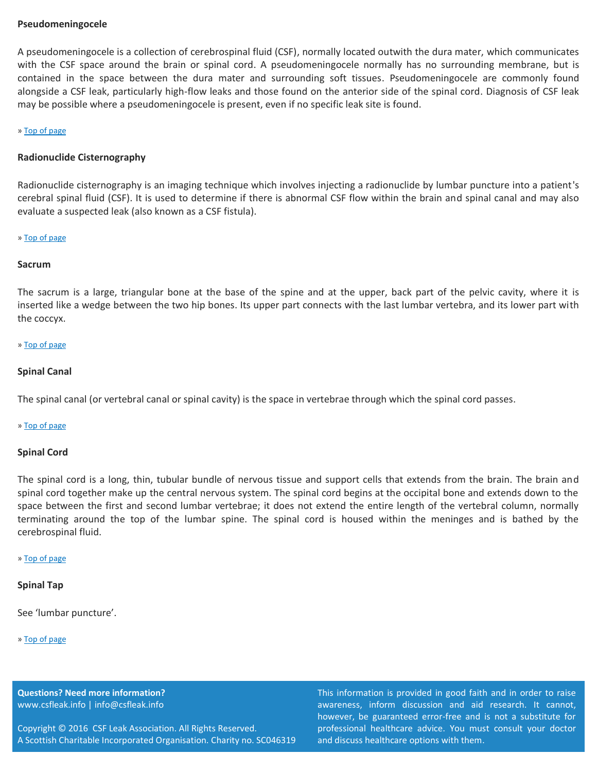# **Pseudomeningocele**

A pseudomeningocele is a collection of cerebrospinal fluid (CSF), normally located outwith the dura mater, which communicates with the CSF space around the brain or spinal cord. A pseudomeningocele normally has no surrounding membrane, but is contained in the space between the dura mater and surrounding soft tissues. Pseudomeningocele are commonly found alongside a CSF leak, particularly high-flow leaks and those found on the anterior side of the spinal cord. Diagnosis of CSF leak may be possible where a pseudomeningocele is present, even if no specific leak site is found.

#### [» Top of page](#page-0-1)

# <span id="page-9-0"></span>**Radionuclide Cisternography**

Radionuclide cisternography is an imaging technique which involves injecting a radionuclide by lumbar puncture into a patient's cerebral spinal fluid (CSF). It is used to determine if there is abnormal CSF flow within the brain and spinal canal and may also evaluate a suspected leak (also known as a CSF fistula).

#### [» Top of page](#page-0-1)

#### <span id="page-9-1"></span>**Sacrum**

The sacrum is a large, triangular bone at the base of the spine and at the upper, back part of the pelvic cavity, where it is inserted like a wedge between the two hip bones. Its upper part connects with the last lumbar vertebra, and its lower part with the coccyx.

#### [» Top of page](#page-0-1)

# **Spinal Canal**

The spinal canal (or vertebral canal or spinal cavity) is the space in vertebrae through which the spinal cord passes.

#### [» Top of page](#page-0-1)

#### **Spinal Cord**

The spinal cord is a long, thin, tubular bundle of nervous tissue and support cells that extends from the brain. The brain and spinal cord together make up the central nervous system. The spinal cord begins at the occipital bone and extends down to the space between the first and second lumbar vertebrae; it does not extend the entire length of the vertebral column, normally terminating around the top of the lumbar spine. The spinal cord is housed within the meninges and is bathed by the cerebrospinal fluid.

#### [» Top of page](#page-0-1)

#### **Spinal Tap**

See 'lumbar puncture'.

#### [» Top of page](#page-0-1)

**Questions? Need more information?** www.csfleak.info | info@csfleak.info

Copyright © 2016 CSF Leak Association. All Rights Reserved. A Scottish Charitable Incorporated Organisation. Charity no. SC046319